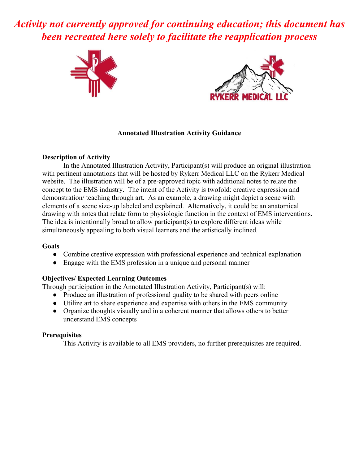*Activity not currently approved for continuing education; this document has been recreated here solely to facilitate the reapplication process*





## **Annotated Illustration Activity Guidance**

## **Description of Activity**

In the Annotated Illustration Activity, Participant(s) will produce an original illustration with pertinent annotations that will be hosted by Rykerr Medical LLC on the Rykerr Medical website. The illustration will be of a pre-approved topic with additional notes to relate the concept to the EMS industry. The intent of the Activity is twofold: creative expression and demonstration/ teaching through art. As an example, a drawing might depict a scene with elements of a scene size-up labeled and explained. Alternatively, it could be an anatomical drawing with notes that relate form to physiologic function in the context of EMS interventions. The idea is intentionally broad to allow participant(s) to explore different ideas while simultaneously appealing to both visual learners and the artistically inclined.

## **Goals**

- Combine creative expression with professional experience and technical explanation
- Engage with the EMS profession in a unique and personal manner

# **Objectives/ Expected Learning Outcomes**

Through participation in the Annotated Illustration Activity, Participant(s) will:

- **●** Produce an illustration of professional quality to be shared with peers online
- **●** Utilize art to share experience and expertise with others in the EMS community
- **●** Organize thoughts visually and in a coherent manner that allows others to better understand EMS concepts

## **Prerequisites**

This Activity is available to all EMS providers, no further prerequisites are required.